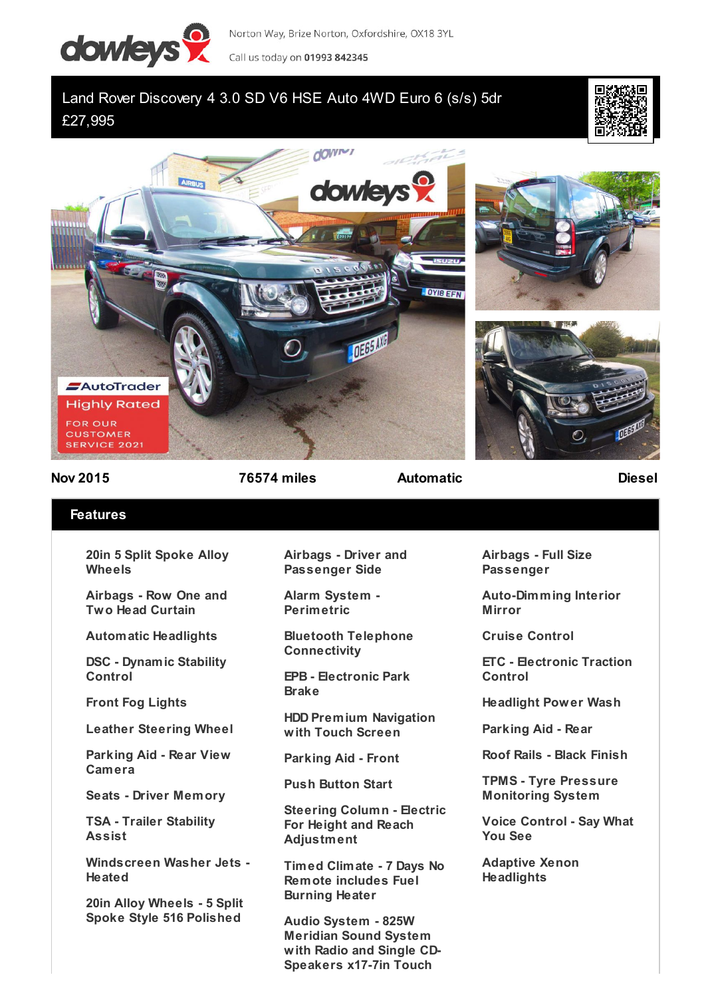

Norton Way, Brize Norton, Oxfordshire, OX18 3YL Call us today on 01993 842345

## Land Rover Discovery 4 3.0 SD V6 HSE Auto 4WD Euro 6 (s/s) 5dr £27,995









**Nov 2015 76574 miles Automatic Diesel**

## **Features**

**20in 5 Split Spoke Alloy Wheels**

**Airbags - Row One and Two Head Curtain**

**Automatic Headlights**

**DSC - Dynamic Stability Control**

**Front Fog Lights**

**Leather Steering Wheel**

**Parking Aid - Rear View Camera**

**Seats - Driver Memory**

**TSA - Trailer Stability Assist**

**Windscreen Washer Jets - Heated**

**20in Alloy Wheels - 5 Split Spoke Style 516 Polished**

**Airbags - Driver and Passenger Side**

**Alarm System - Perimetric**

**Bluetooth Telephone Connectivity**

**EPB - Electronic Park Brake**

**HDD Premium Navigation with Touch Screen**

**Parking Aid - Front**

**Push Button Start**

**Steering Column - Electric For Height and Reach Adjustment**

**Timed Climate - 7 Days No Remote includes Fuel Burning Heater**

**Audio System - 825W Meridian Sound System with Radio and Single CD-Speakers x17-7in Touch**

**Airbags - Full Size Passenger**

**Auto-Dimming Interior Mirror**

**Cruise Control**

**ETC - Electronic Traction Control**

**Headlight Power Wash**

**Parking Aid - Rear**

**Roof Rails - Black Finish**

**TPMS - Tyre Pressure Monitoring System**

**Voice Control - Say What You See**

**Adaptive Xenon Headlights**